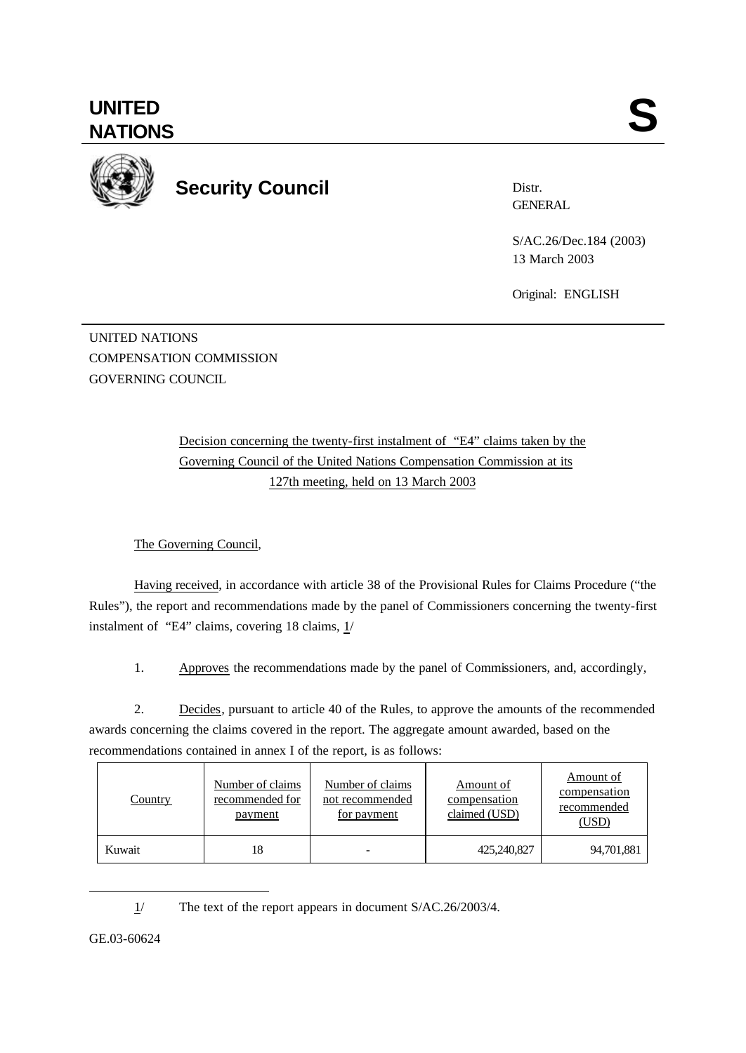

**Security Council**

Distr. **GENERAL** 

S/AC.26/Dec.184 (2003) 13 March 2003

Original: ENGLISH

UNITED NATIONS COMPENSATION COMMISSION GOVERNING COUNCIL

> Decision concerning the twenty-first instalment of "E4" claims taken by the Governing Council of the United Nations Compensation Commission at its 127th meeting, held on 13 March 2003

The Governing Council,

Having received, in accordance with article 38 of the Provisional Rules for Claims Procedure ("the Rules"), the report and recommendations made by the panel of Commissioners concerning the twenty-first instalment of "E4" claims, covering 18 claims, 1/

1. Approves the recommendations made by the panel of Commissioners, and, accordingly,

2. Decides, pursuant to article 40 of the Rules, to approve the amounts of the recommended awards concerning the claims covered in the report. The aggregate amount awarded, based on the recommendations contained in annex I of the report, is as follows:

| <u>Country</u> | Number of claims<br>recommended for<br><u>payment</u> | Number of claims<br>not recommended<br>for payment | <u>Amount of</u><br>compensation<br>claimed (USD) | Amount of<br>compensation<br>recommended<br>(USD) |
|----------------|-------------------------------------------------------|----------------------------------------------------|---------------------------------------------------|---------------------------------------------------|
| Kuwait         | 18                                                    |                                                    | 425,240,827                                       | 94,701,881                                        |

1/ The text of the report appears in document S/AC.26/2003/4.

GE.03-60624

l